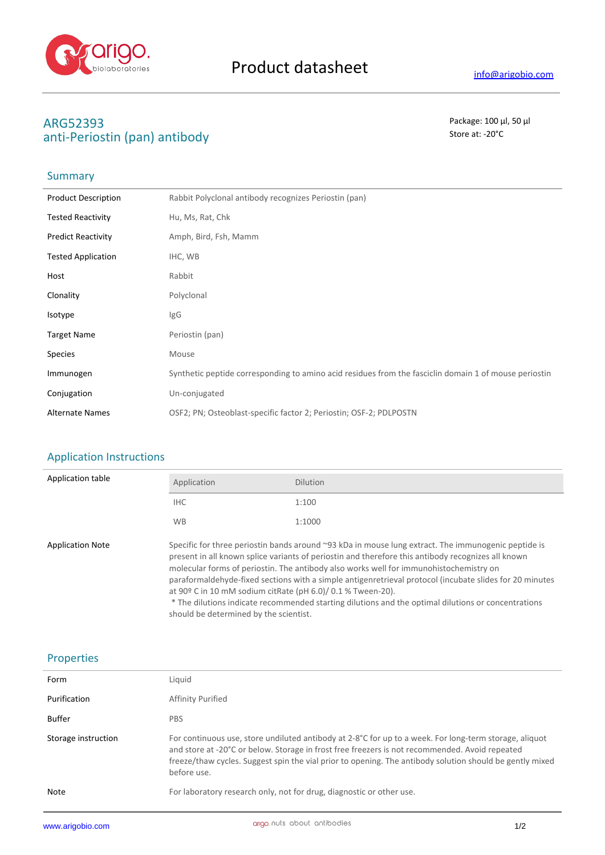

# **ARG52393** Package: 100 μl, 50 μl anti-Periostin (pan) antibody **Store at:** -20°C

# Summary

| <b>Product Description</b> | Rabbit Polyclonal antibody recognizes Periostin (pan)                                                 |
|----------------------------|-------------------------------------------------------------------------------------------------------|
| <b>Tested Reactivity</b>   | Hu, Ms, Rat, Chk                                                                                      |
| <b>Predict Reactivity</b>  | Amph, Bird, Fsh, Mamm                                                                                 |
| <b>Tested Application</b>  | IHC, WB                                                                                               |
| Host                       | Rabbit                                                                                                |
| Clonality                  | Polyclonal                                                                                            |
| Isotype                    | IgG                                                                                                   |
| <b>Target Name</b>         | Periostin (pan)                                                                                       |
| <b>Species</b>             | Mouse                                                                                                 |
| Immunogen                  | Synthetic peptide corresponding to amino acid residues from the fasciclin domain 1 of mouse periostin |
| Conjugation                | Un-conjugated                                                                                         |
| <b>Alternate Names</b>     | OSF2; PN; Osteoblast-specific factor 2; Periostin; OSF-2; PDLPOSTN                                    |

## Application Instructions

| Application table       | Application                                                                                                                                                                                                                                                                                                                                                                                                                                                                                                                                                                                                                    | <b>Dilution</b> |
|-------------------------|--------------------------------------------------------------------------------------------------------------------------------------------------------------------------------------------------------------------------------------------------------------------------------------------------------------------------------------------------------------------------------------------------------------------------------------------------------------------------------------------------------------------------------------------------------------------------------------------------------------------------------|-----------------|
|                         | IHC.                                                                                                                                                                                                                                                                                                                                                                                                                                                                                                                                                                                                                           | 1:100           |
|                         | <b>WB</b>                                                                                                                                                                                                                                                                                                                                                                                                                                                                                                                                                                                                                      | 1:1000          |
| <b>Application Note</b> | Specific for three periostin bands around ~93 kDa in mouse lung extract. The immunogenic peptide is<br>present in all known splice variants of periostin and therefore this antibody recognizes all known<br>molecular forms of periostin. The antibody also works well for immunohistochemistry on<br>paraformaldehyde-fixed sections with a simple antigenretrieval protocol (incubate slides for 20 minutes<br>at 90° C in 10 mM sodium citRate (pH 6.0)/ 0.1 % Tween-20).<br>* The dilutions indicate recommended starting dilutions and the optimal dilutions or concentrations<br>should be determined by the scientist. |                 |

### Properties

| Form                | Liquid                                                                                                                                                                                                                                                                                                                              |
|---------------------|-------------------------------------------------------------------------------------------------------------------------------------------------------------------------------------------------------------------------------------------------------------------------------------------------------------------------------------|
| Purification        | Affinity Purified                                                                                                                                                                                                                                                                                                                   |
| Buffer              | <b>PBS</b>                                                                                                                                                                                                                                                                                                                          |
| Storage instruction | For continuous use, store undiluted antibody at 2-8°C for up to a week. For long-term storage, aliquot<br>and store at -20°C or below. Storage in frost free freezers is not recommended. Avoid repeated<br>freeze/thaw cycles. Suggest spin the vial prior to opening. The antibody solution should be gently mixed<br>before use. |
| <b>Note</b>         | For laboratory research only, not for drug, diagnostic or other use.                                                                                                                                                                                                                                                                |
|                     |                                                                                                                                                                                                                                                                                                                                     |

J.